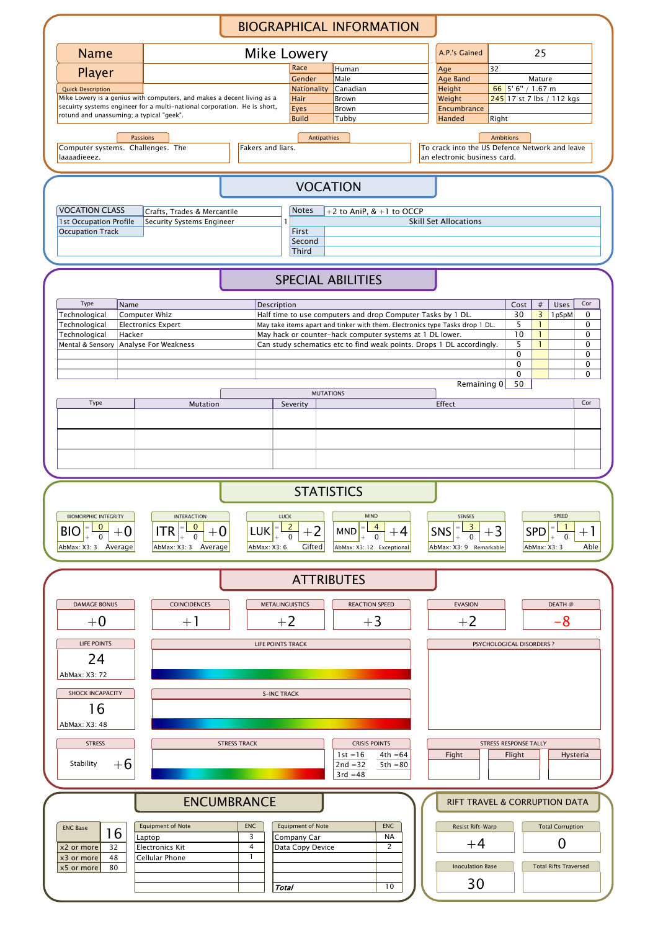